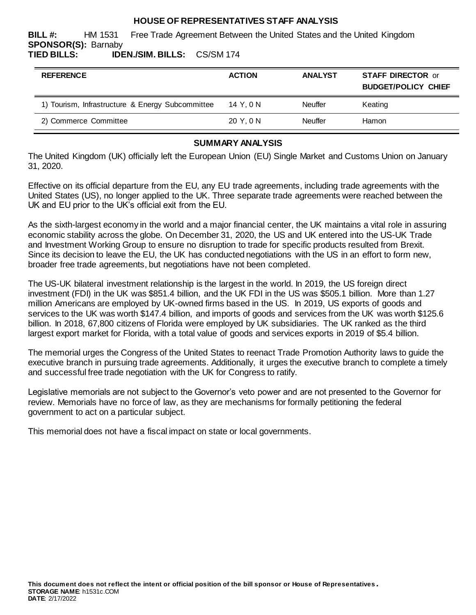## **HOUSE OF REPRESENTATIVES STAFF ANALYSIS**

**BILL #:** HM 1531 Free Trade Agreement Between the United States and the United Kingdom **SPONSOR(S):** Barnaby **TIED BILLS: IDEN./SIM. BILLS:** CS/SM 174

| <b>REFERENCE</b>                                 | <b>ACTION</b> | <b>ANALYST</b> | <b>STAFF DIRECTOR or</b><br><b>BUDGET/POLICY CHIEF</b> |
|--------------------------------------------------|---------------|----------------|--------------------------------------------------------|
| 1) Tourism, Infrastructure & Energy Subcommittee | 14 Y.ON       | Neuffer        | Keating                                                |
| 2) Commerce Committee                            | 20 Y.ON       | <b>Neuffer</b> | Hamon                                                  |

#### **SUMMARY ANALYSIS**

The United Kingdom (UK) officially left the European Union (EU) Single Market and Customs Union on January 31, 2020.

Effective on its official departure from the EU, any EU trade agreements, including trade agreements with the United States (US), no longer applied to the UK. Three separate trade agreements were reached between the UK and EU prior to the UK's official exit from the EU.

As the sixth-largest economy in the world and a major financial center, the UK maintains a vital role in assuring economic stability across the globe. On December 31, 2020, the US and UK entered into the US-UK Trade and Investment Working Group to ensure no disruption to trade for specific products resulted from Brexit. Since its decision to leave the EU, the UK has conducted negotiations with the US in an effort to form new, broader free trade agreements, but negotiations have not been completed.

The US-UK bilateral investment relationship is the largest in the world. In 2019, the US foreign direct investment (FDI) in the UK was \$851.4 billion, and the UK FDI in the US was \$505.1 billion. More than 1.27 million Americans are employed by UK-owned firms based in the US. In 2019, US exports of goods and services to the UK was worth \$147.4 billion, and imports of goods and services from the UK was worth \$125.6 billion. In 2018, 67,800 citizens of Florida were employed by UK subsidiaries. The UK ranked as the third largest export market for Florida, with a total value of goods and services exports in 2019 of \$5.4 billion.

The memorial urges the Congress of the United States to reenact Trade Promotion Authority laws to guide the executive branch in pursuing trade agreements. Additionally, it urges the executive branch to complete a timely and successful free trade negotiation with the UK for Congress to ratify.

Legislative memorials are not subject to the Governor's veto power and are not presented to the Governor for review. Memorials have no force of law, as they are mechanisms for formally petitioning the federal government to act on a particular subject.

This memorial does not have a fiscal impact on state or local governments.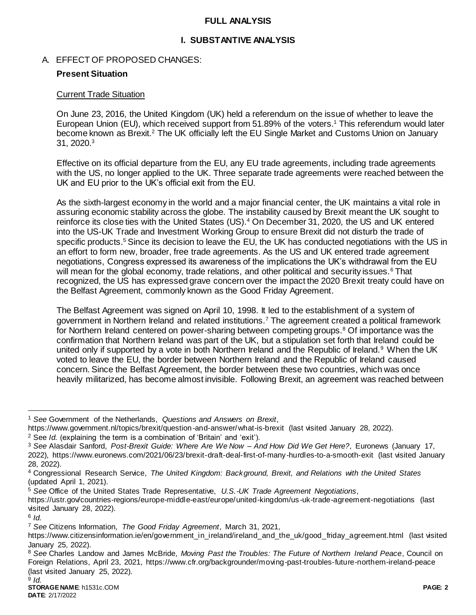### **FULL ANALYSIS**

# **I. SUBSTANTIVE ANALYSIS**

A. EFFECT OF PROPOSED CHANGES:

# **Present Situation**

## Current Trade Situation

On June 23, 2016, the United Kingdom (UK) held a referendum on the issue of whether to leave the European Union (EU), which received support from 51.89% of the voters.<sup>1</sup> This referendum would later become known as Brexit.<sup>2</sup> The UK officially left the EU Single Market and Customs Union on January 31, 2020.<sup>3</sup>

Effective on its official departure from the EU, any EU trade agreements, including trade agreements with the US, no longer applied to the UK. Three separate trade agreements were reached between the UK and EU prior to the UK's official exit from the EU.

As the sixth-largest economy in the world and a major financial center, the UK maintains a vital role in assuring economic stability across the globe. The instability caused by Brexit meant the UK sought to reinforce its close ties with the United States (US).<sup>4</sup> On December 31, 2020, the US and UK entered into the US-UK Trade and Investment Working Group to ensure Brexit did not disturb the trade of specific products.<sup>5</sup> Since its decision to leave the EU, the UK has conducted negotiations with the US in an effort to form new, broader, free trade agreements. As the US and UK entered trade agreement negotiations, Congress expressed its awareness of the implications the UK's withdrawal from the EU will mean for the global economy, trade relations, and other political and security issues.<sup>6</sup> That recognized, the US has expressed grave concern over the impact the 2020 Brexit treaty could have on the Belfast Agreement, commonly known as the Good Friday Agreement.

The Belfast Agreement was signed on April 10, 1998. It led to the establishment of a system of government in Northern Ireland and related institutions.<sup>7</sup> The agreement created a political framework for Northern Ireland centered on power-sharing between competing groups.<sup>8</sup> Of importance was the confirmation that Northern Ireland was part of the UK, but a stipulation set forth that Ireland could be united only if supported by a vote in both Northern Ireland and the Republic of Ireland.<sup>9</sup> When the UK voted to leave the EU, the border between Northern Ireland and the Republic of Ireland caused concern. Since the Belfast Agreement, the border between these two countries, which was once heavily militarized, has become almost invisible. Following Brexit, an agreement was reached between

 $\overline{a}$ 

<sup>1</sup> *See* Government of the Netherlands, *Questions and Answers on Brexit*,

https://www.government.nl/topics/brexit/question-and-answer/what-is-brexit (last visited January 28, 2022).

<sup>2</sup> See *Id.* (explaining the term is a combination of 'Britain' and 'exit').

<sup>3</sup> *See* Alasdair Sanford, *Post-Brexit Guide: Where Are We Now – And How Did We Get Here?*, Euronews (January 17, 2022), https://www.euronews.com/2021/06/23/brexit-draft-deal-first-of-many-hurdles-to-a-smooth-exit (last visited January 28, 2022).

<sup>4</sup> Congressional Research Service, *The United Kingdom: Background, Brexit, and Relations with the United States* (updated April 1, 2021).

<sup>5</sup> *See* Office of the United States Trade Representative, *U.S.-UK Trade Agreement Negotiations*,

https://ustr.gov/countries-regions/europe-middle-east/europe/united-kingdom/us -uk-trade-agreement-negotiations (last visited January 28, 2022).

<sup>6</sup> *Id.*

<sup>7</sup> *See* Citizens Information, *The Good Friday Agreement*, March 31, 2021,

https://www.citizensinformation.ie/en/government\_in\_ireland/ireland\_and\_the\_uk/good\_friday\_agreement.html (last visited January 25, 2022).

<sup>8</sup> *See* Charles Landow and James McBride, *Moving Past the Troubles: The Future of Northern Ireland Peace*, Council on Foreign Relations, April 23, 2021, https://www.cfr.org/backgrounder/moving-past-troubles-future-northern-ireland-peace (last visited January 25, 2022).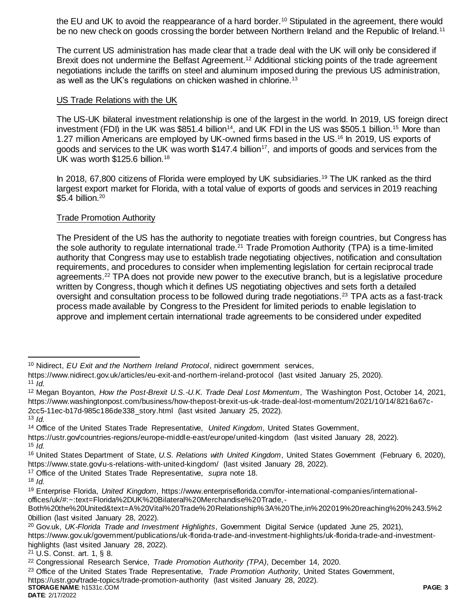the EU and UK to avoid the reappearance of a hard border.<sup>10</sup> Stipulated in the agreement, there would be no new check on goods crossing the border between Northern Ireland and the Republic of Ireland.<sup>11</sup>

The current US administration has made clear that a trade deal with the UK will only be considered if Brexit does not undermine the Belfast Agreement.<sup>12</sup> Additional sticking points of the trade agreement negotiations include the tariffs on steel and aluminum imposed during the previous US administration, as well as the UK's regulations on chicken washed in chlorine.<sup>13</sup>

## US Trade Relations with the UK

The US-UK bilateral investment relationship is one of the largest in the world. In 2019, US foreign direct investment (FDI) in the UK was \$851.4 billion<sup>14</sup>, and UK FDI in the US was \$505.1 billion.<sup>15</sup> More than 1.27 million Americans are employed by UK-owned firms based in the US.<sup>16</sup> In 2019, US exports of goods and services to the UK was worth  $$147.4$  billion<sup>17</sup>, and imports of goods and services from the UK was worth \$125.6 billion.<sup>18</sup>

In 2018, 67,800 citizens of Florida were employed by UK subsidiaries.<sup>19</sup> The UK ranked as the third largest export market for Florida, with a total value of exports of goods and services in 2019 reaching \$5.4 billion.<sup>20</sup>

# Trade Promotion Authority

The President of the US has the authority to negotiate treaties with foreign countries, but Congress has the sole authority to regulate international trade.<sup>21</sup> Trade Promotion Authority (TPA) is a time-limited authority that Congress may use to establish trade negotiating objectives, notification and consultation requirements, and procedures to consider when implementing legislation for certain reciprocal trade agreements.<sup>22</sup> TPA does not provide new power to the executive branch, but is a legislative procedure written by Congress, though which it defines US negotiating objectives and sets forth a detailed oversight and consultation process to be followed during trade negotiations.<sup>23</sup> TPA acts as a fast-track process made available by Congress to the President for limited periods to enable legislation to approve and implement certain international trade agreements to be considered under expedited

<sup>12</sup> Megan Boyanton, *How the Post-Brexit U.S.-U.K. Trade Deal Lost Momentum*, The Washington Post, October 14, 2021, https://www.washingtonpost.com/business/how-thepost-brexit-us-uk-trade-deal-lost-momentum/2021/10/14/8216a67c-2cc5-11ec-b17d-985c186de338\_story.html (last visited January 25, 2022).

 $\overline{a}$ 

<sup>10</sup> Nidirect, *EU Exit and the Northern Ireland Protocol*, nidirect government services,

https://www.nidirect.gov.uk/articles/eu-exit-and-northern-ireland-protocol (last visited January 25, 2020).  $11$   $\dot{I}$ *d.* 

<sup>13</sup> *Id.*

<sup>14</sup> Office of the United States Trade Representative, *United Kingdom*, United States Government,

https://ustr.gov/countries-regions/europe-middle-east/europe/united-kingdom (last visited January 28, 2022). <sup>15</sup> *Id.*

<sup>16</sup> United States Department of State*, U.S. Relations with United Kingdom*, United States Government (February 6, 2020), https://www.state.gov/u-s-relations-with-united-kingdom/ (last visited January 28, 2022).

<sup>17</sup> Office of the United States Trade Representative, *supra* note 18.

 $18$  *Id.* 

<sup>19</sup> Enterprise Florida, *United Kingdom*, https://www.enterpriseflorida.com/for-international-companies/internationaloffices/uk/#:~:text=Florida%2DUK%20Bilateral%20Merchandise%20Trade,-

Both%20the%20United&text=A%20Vital%20Trade%20Relationship%3A%20The,in%202019%20reaching%20%243.5%2 0billion (last visited January 28, 2022).

<sup>20</sup> Gov.uk, *UK-Florida Trade and Investment Highlights*, Government Digital Service (updated June 25, 2021),

https://www.gov.uk/government/publications/uk-florida-trade-and-investment-highlights/uk-florida-trade-and-investmenthighlights (last visited January 28, 2022).

<sup>21</sup> U.S. Const. art. 1, § 8.

<sup>22</sup> Congressional Research Service, *Trade Promotion Authority (TPA)*, December 14, 2020.

<sup>23</sup> Office of the United States Trade Representative, *Trade Promotion Authority*, United States Government,

https://ustr.gov/trade-topics/trade-promotion-authority (last visited January 28, 2022).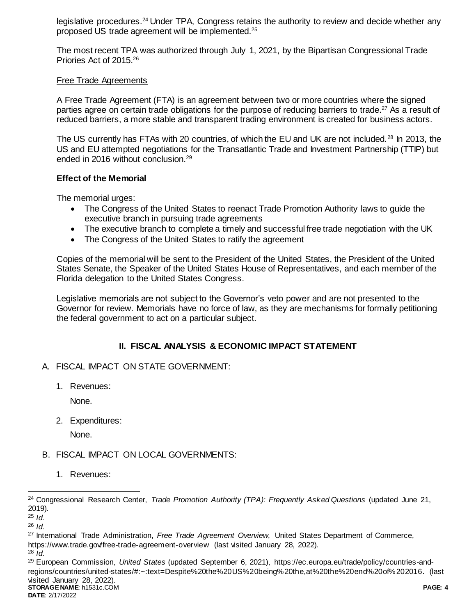legislative procedures.<sup>24</sup> Under TPA, Congress retains the authority to review and decide whether any proposed US trade agreement will be implemented.<sup>25</sup>

The most recent TPA was authorized through July 1, 2021, by the Bipartisan Congressional Trade Priories Act of 2015.<sup>26</sup>

#### Free Trade Agreements

A Free Trade Agreement (FTA) is an agreement between two or more countries where the signed parties agree on certain trade obligations for the purpose of reducing barriers to trade.<sup>27</sup> As a result of reduced barriers, a more stable and transparent trading environment is created for business actors.

The US currently has FTAs with 20 countries, of which the EU and UK are not included.<sup>28</sup> In 2013, the US and EU attempted negotiations for the Transatlantic Trade and Investment Partnership (TTIP) but ended in 2016 without conclusion.<sup>29</sup>

#### **Effect of the Memorial**

The memorial urges:

- The Congress of the United States to reenact Trade Promotion Authority laws to guide the executive branch in pursuing trade agreements
- The executive branch to complete a timely and successful free trade negotiation with the UK
- The Congress of the United States to ratify the agreement

Copies of the memorial will be sent to the President of the United States, the President of the United States Senate, the Speaker of the United States House of Representatives, and each member of the Florida delegation to the United States Congress.

Legislative memorials are not subject to the Governor's veto power and are not presented to the Governor for review. Memorials have no force of law, as they are mechanisms for formally petitioning the federal government to act on a particular subject.

# **II. FISCAL ANALYSIS & ECONOMIC IMPACT STATEMENT**

- A. FISCAL IMPACT ON STATE GOVERNMENT:
	- 1. Revenues:

None.

2. Expenditures:

None.

# B. FISCAL IMPACT ON LOCAL GOVERNMENTS:

1. Revenues:

l

**STORAGE NAME**: h1531c.COM **PAGE: 4** <sup>29</sup> European Commission, *United States* (updated September 6, 2021), https://ec.europa.eu/trade/policy/countries-andregions/countries/united-states/#:~:text=Despite%20the%20US%20being%20the,at%20the%20end%20of%202016. (last visited January 28, 2022).

<sup>24</sup> Congressional Research Center, *Trade Promotion Authority (TPA): Frequently Asked Questions* (updated June 21, 2019).

<sup>25</sup> *Id.*

<sup>26</sup> *Id.*

<sup>27</sup> International Trade Administration, *Free Trade Agreement Overview*, United States Department of Commerce, https://www.trade.gov/free-trade-agreement-overview (last visited January 28, 2022).

<sup>28</sup> *Id.*